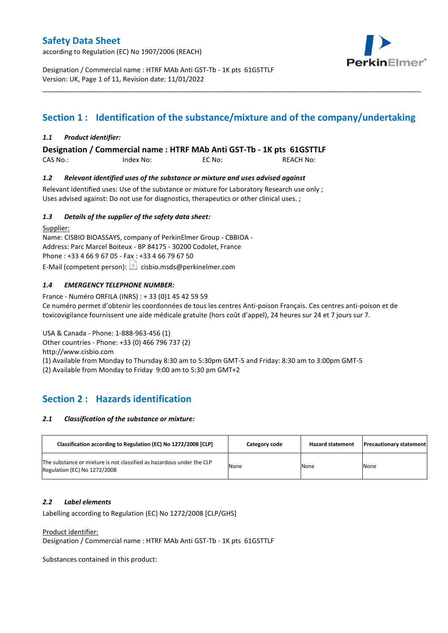according to Regulation (EC) No 1907/2006 (REACH)



Designation / Commercial name : HTRF MAb Anti GST-Tb - 1K pts 61GSTTLF Version: UK, Page 1 of 11, Revision date: 11/01/2022

# **Section 1 : Identification of the substance/mixture and of the company/undertaking**

\_\_\_\_\_\_\_\_\_\_\_\_\_\_\_\_\_\_\_\_\_\_\_\_\_\_\_\_\_\_\_\_\_\_\_\_\_\_\_\_\_\_\_\_\_\_\_\_\_\_\_\_\_\_\_\_\_\_\_\_\_\_\_\_\_\_\_\_\_\_\_\_\_\_\_\_\_\_\_\_\_\_\_\_\_\_\_\_\_\_\_\_\_\_\_\_\_\_\_\_\_

### *1.1 Product identifier:*

**Designation / Commercial name : HTRF MAb Anti GST-Tb - 1K pts 61GSTTLF** 

| CAS No.: | Index No: | EC No: | <b>REACH No:</b> |
|----------|-----------|--------|------------------|
|          |           |        |                  |

### *1.2 Relevant identified uses of the substance or mixture and uses advised against*

Relevant identified uses: Use of the substance or mixture for Laboratory Research use only ; Uses advised against: Do not use for diagnostics, therapeutics or other clinical uses. ;

### *1.3 Details of the supplier of the safety data sheet:*

Supplier: Name: CISBIO BIOASSAYS, company of PerkinElmer Group - CBBIOA - Address: Parc Marcel Boiteux - BP 84175 - 30200 Codolet, France Phone : +33 4 66 9 67 05 - Fax : +33 4 66 79 67 50 E-Mail (competent person):  $\boxed{\equiv}$  cisbio.msds@perkinelmer.com

### *1.4 EMERGENCY TELEPHONE NUMBER:*

France - Numéro ORFILA (INRS) : + 33 (0)1 45 42 59 59 Ce numéro permet d'obtenir les coordonnées de tous les centres Anti-poison Français. Ces centres anti-poison et de toxicovigilance fournissent une aide médicale gratuite (hors coût d'appel), 24 heures sur 24 et 7 jours sur 7.

USA & Canada - Phone: 1-888-963-456 (1) Other countries - Phone: +33 (0) 466 796 737 (2)

http://www.cisbio.com

(1) Available from Monday to Thursday 8:30 am to 5:30pm GMT-5 and Friday: 8:30 am to 3:00pm GMT-5

(2) Available from Monday to Friday 9:00 am to 5:30 pm GMT+2

# **Section 2 : Hazards identification**

#### *2.1 Classification of the substance or mixture:*

| Classification according to Regulation (EC) No 1272/2008 [CLP]                                        | Category code | <b>Hazard statement</b> | <b>Precautionary statement</b> |
|-------------------------------------------------------------------------------------------------------|---------------|-------------------------|--------------------------------|
| The substance or mixture is not classified as hazardous under the CLP<br>Regulation (EC) No 1272/2008 | None          | None                    | <b>None</b>                    |

#### *2.2 Label elements*

Labelling according to Regulation (EC) No 1272/2008 [CLP/GHS]

Product identifier:

Designation / Commercial name : HTRF MAb Anti GST-Tb - 1K pts 61GSTTLF

Substances contained in this product: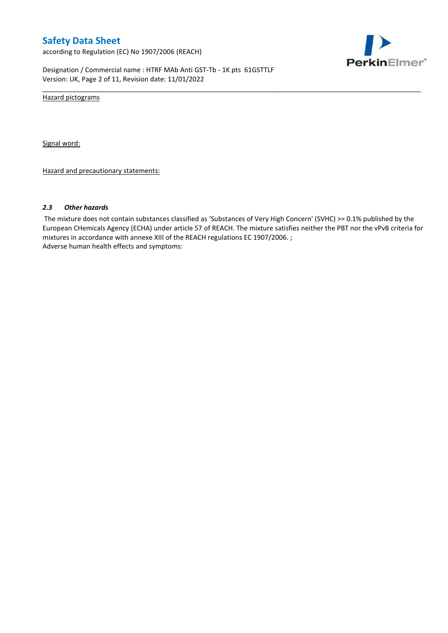according to Regulation (EC) No 1907/2006 (REACH)



Designation / Commercial name : HTRF MAb Anti GST-Tb - 1K pts 61GSTTLF Version: UK, Page 2 of 11, Revision date: 11/01/2022

Hazard pictograms

Signal word:

Hazard and precautionary statements:

#### *2.3 Other hazards*

The mixture does not contain substances classified as 'Substances of Very High Concern' (SVHC) >= 0.1% published by the European CHemicals Agency (ECHA) under article 57 of REACH. The mixture satisfies neither the PBT nor the vPvB criteria for mixtures in accordance with annexe XIII of the REACH regulations EC 1907/2006. ; Adverse human health effects and symptoms:

\_\_\_\_\_\_\_\_\_\_\_\_\_\_\_\_\_\_\_\_\_\_\_\_\_\_\_\_\_\_\_\_\_\_\_\_\_\_\_\_\_\_\_\_\_\_\_\_\_\_\_\_\_\_\_\_\_\_\_\_\_\_\_\_\_\_\_\_\_\_\_\_\_\_\_\_\_\_\_\_\_\_\_\_\_\_\_\_\_\_\_\_\_\_\_\_\_\_\_\_\_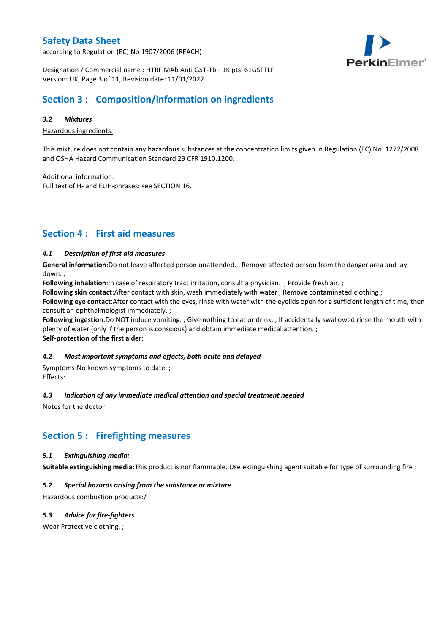according to Regulation (EC) No 1907/2006 (REACH)



Designation / Commercial name : HTRF MAb Anti GST-Tb - 1K pts 61GSTTLF Version: UK, Page 3 of 11, Revision date: 11/01/2022

### **Section 3 : Composition/information on ingredients**

### *3.2 Mixtures*

Hazardous ingredients:

This mixture does not contain any hazardous substances at the concentration limits given in Regulation (EC) No. 1272/2008 and OSHA Hazard Communication Standard 29 CFR 1910.1200.

\_\_\_\_\_\_\_\_\_\_\_\_\_\_\_\_\_\_\_\_\_\_\_\_\_\_\_\_\_\_\_\_\_\_\_\_\_\_\_\_\_\_\_\_\_\_\_\_\_\_\_\_\_\_\_\_\_\_\_\_\_\_\_\_\_\_\_\_\_\_\_\_\_\_\_\_\_\_\_\_\_\_\_\_\_\_\_\_\_\_\_\_\_\_\_\_\_\_\_\_\_

Additional information:

Full text of H- and EUH-phrases: see SECTION 16.

### **Section 4 : First aid measures**

### *4.1 Description of first aid measures*

**General information**:Do not leave affected person unattended. ; Remove affected person from the danger area and lay down. ;

**Following inhalation**:In case of respiratory tract irritation, consult a physician. ; Provide fresh air. ;

**Following skin contact**:After contact with skin, wash immediately with water ; Remove contaminated clothing ;

**Following eye contact**:After contact with the eyes, rinse with water with the eyelids open for a sufficient length of time, then consult an ophthalmologist immediately. ;

**Following ingestion**:Do NOT induce vomiting. ; Give nothing to eat or drink. ; If accidentally swallowed rinse the mouth with plenty of water (only if the person is conscious) and obtain immediate medical attention. ; **Self-protection of the first aider**:

#### *4.2 Most important symptoms and effects, both acute and delayed*

Symptoms:No known symptoms to date. ; Effects:

#### *4.3 Indication of any immediate medical attention and special treatment needed*

Notes for the doctor:

### **Section 5 : Firefighting measures**

### *5.1 Extinguishing media:*

**Suitable extinguishing media**:This product is not flammable. Use extinguishing agent suitable for type of surrounding fire ;

### *5.2 Special hazards arising from the substance or mixture*

Hazardous combustion products:/

### *5.3 Advice for fire-fighters*

Wear Protective clothing.;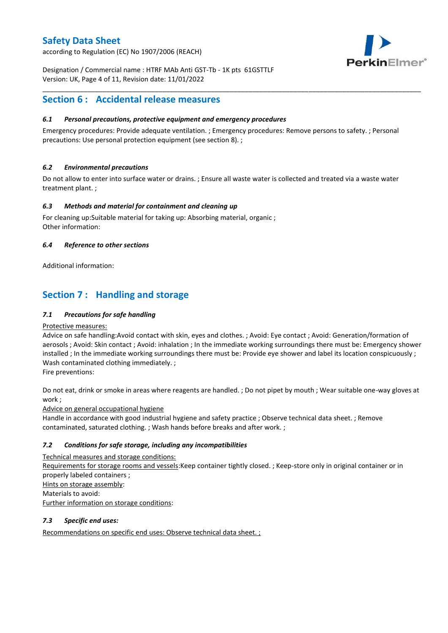according to Regulation (EC) No 1907/2006 (REACH)



Designation / Commercial name : HTRF MAb Anti GST-Tb - 1K pts 61GSTTLF Version: UK, Page 4 of 11, Revision date: 11/01/2022

### **Section 6 : Accidental release measures**

### *6.1 Personal precautions, protective equipment and emergency procedures*

Emergency procedures: Provide adequate ventilation. ; Emergency procedures: Remove persons to safety. ; Personal precautions: Use personal protection equipment (see section 8). ;

\_\_\_\_\_\_\_\_\_\_\_\_\_\_\_\_\_\_\_\_\_\_\_\_\_\_\_\_\_\_\_\_\_\_\_\_\_\_\_\_\_\_\_\_\_\_\_\_\_\_\_\_\_\_\_\_\_\_\_\_\_\_\_\_\_\_\_\_\_\_\_\_\_\_\_\_\_\_\_\_\_\_\_\_\_\_\_\_\_\_\_\_\_\_\_\_\_\_\_\_\_

### *6.2 Environmental precautions*

Do not allow to enter into surface water or drains. ; Ensure all waste water is collected and treated via a waste water treatment plant. ;

### *6.3 Methods and material for containment and cleaning up*

For cleaning up:Suitable material for taking up: Absorbing material, organic ; Other information:

### *6.4 Reference to other sections*

Additional information:

# **Section 7 : Handling and storage**

### *7.1 Precautions for safe handling*

#### Protective measures:

Advice on safe handling:Avoid contact with skin, eyes and clothes. ; Avoid: Eye contact ; Avoid: Generation/formation of aerosols ; Avoid: Skin contact ; Avoid: inhalation ; In the immediate working surroundings there must be: Emergency shower installed ; In the immediate working surroundings there must be: Provide eye shower and label its location conspicuously ; Wash contaminated clothing immediately. ;

Fire preventions:

Do not eat, drink or smoke in areas where reagents are handled. ; Do not pipet by mouth ; Wear suitable one-way gloves at work ;

Advice on general occupational hygiene

Handle in accordance with good industrial hygiene and safety practice ; Observe technical data sheet. ; Remove contaminated, saturated clothing. ; Wash hands before breaks and after work. ;

### *7.2 Conditions for safe storage, including any incompatibilities*

Technical measures and storage conditions: Requirements for storage rooms and vessels:Keep container tightly closed. ; Keep-store only in original container or in properly labeled containers ; Hints on storage assembly: Materials to avoid: Further information on storage conditions:

### *7.3 Specific end uses:*

Recommendations on specific end uses: Observe technical data sheet. ;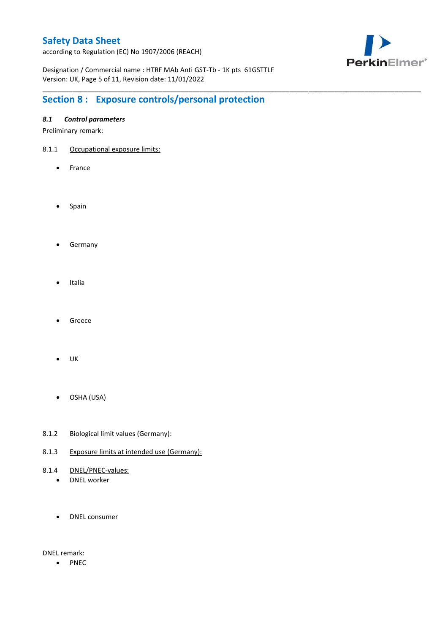according to Regulation (EC) No 1907/2006 (REACH)



Designation / Commercial name : HTRF MAb Anti GST-Tb - 1K pts 61GSTTLF Version: UK, Page 5 of 11, Revision date: 11/01/2022

\_\_\_\_\_\_\_\_\_\_\_\_\_\_\_\_\_\_\_\_\_\_\_\_\_\_\_\_\_\_\_\_\_\_\_\_\_\_\_\_\_\_\_\_\_\_\_\_\_\_\_\_\_\_\_\_\_\_\_\_\_\_\_\_\_\_\_\_\_\_\_\_\_\_\_\_\_\_\_\_\_\_\_\_\_\_\_\_\_\_\_\_\_\_\_\_\_\_\_\_\_

# **Section 8 : Exposure controls/personal protection**

### *8.1 Control parameters*

Preliminary remark:

- 8.1.1 Occupational exposure limits:
	- France
	- Spain
	- **•** Germany
	- Italia
	- Greece
	- $\bullet$  UK
	- OSHA (USA)
- 8.1.2 Biological limit values (Germany):
- 8.1.3 Exposure limits at intended use (Germany):
- 8.1.4 DNEL/PNEC-values:
	- DNEL worker
	- DNEL consumer

DNEL remark:

• PNEC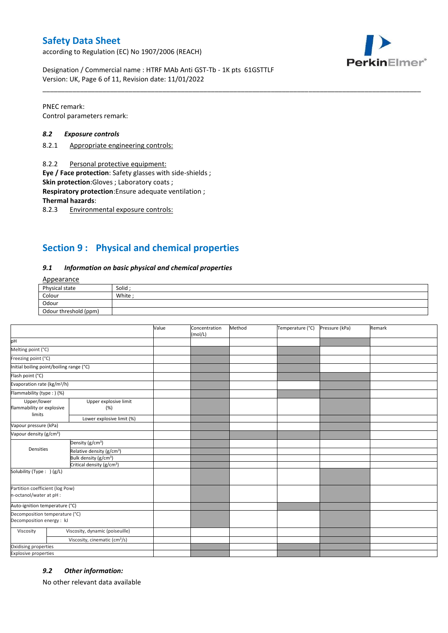according to Regulation (EC) No 1907/2006 (REACH)



Designation / Commercial name : HTRF MAb Anti GST-Tb - 1K pts 61GSTTLF Version: UK, Page 6 of 11, Revision date: 11/01/2022

PNEC remark: Control parameters remark:

#### *8.2 Exposure controls*

- 8.2.1 Appropriate engineering controls:
- 8.2.2 Personal protective equipment:

**Eye / Face protection**: Safety glasses with side-shields ;

**Skin protection**:Gloves ; Laboratory coats ;

**Respiratory protection**:Ensure adequate ventilation ;

**Thermal hazards**:

8.2.3 Environmental exposure controls:

### **Section 9 : Physical and chemical properties**

#### *9.1 Information on basic physical and chemical properties*

### Appearance

| Physical state        | Solid  |
|-----------------------|--------|
| Colour                | White: |
| Odour                 |        |
| Odour threshold (ppm) |        |

\_\_\_\_\_\_\_\_\_\_\_\_\_\_\_\_\_\_\_\_\_\_\_\_\_\_\_\_\_\_\_\_\_\_\_\_\_\_\_\_\_\_\_\_\_\_\_\_\_\_\_\_\_\_\_\_\_\_\_\_\_\_\_\_\_\_\_\_\_\_\_\_\_\_\_\_\_\_\_\_\_\_\_\_\_\_\_\_\_\_\_\_\_\_\_\_\_\_\_\_\_

|                                                             |                                           | Value | Concentration<br>(mol/L) | Method | Temperature (°C) | Pressure (kPa) | Remark |
|-------------------------------------------------------------|-------------------------------------------|-------|--------------------------|--------|------------------|----------------|--------|
| pH                                                          |                                           |       |                          |        |                  |                |        |
| Melting point (°C)                                          |                                           |       |                          |        |                  |                |        |
| Freezing point (°C)                                         |                                           |       |                          |        |                  |                |        |
| Initial boiling point/boiling range (°C)                    |                                           |       |                          |        |                  |                |        |
| Flash point (°C)                                            |                                           |       |                          |        |                  |                |        |
| Evaporation rate (kg/m <sup>2</sup> /h)                     |                                           |       |                          |        |                  |                |        |
| Flammability (type : ) (%)                                  |                                           |       |                          |        |                  |                |        |
| Upper/lower<br>flammability or explosive<br>limits          | Upper explosive limit<br>(%)              |       |                          |        |                  |                |        |
|                                                             | Lower explosive limit (%)                 |       |                          |        |                  |                |        |
| Vapour pressure (kPa)                                       |                                           |       |                          |        |                  |                |        |
| Vapour density (g/cm <sup>3</sup> )                         |                                           |       |                          |        |                  |                |        |
|                                                             | Density (g/cm <sup>3</sup> )              |       |                          |        |                  |                |        |
| Densities                                                   | Relative density (g/cm <sup>3</sup> )     |       |                          |        |                  |                |        |
|                                                             | Bulk density (g/cm <sup>3</sup> )         |       |                          |        |                  |                |        |
| Critical density (g/cm <sup>3</sup> )                       |                                           |       |                          |        |                  |                |        |
| Solubility (Type: ) (g/L)                                   |                                           |       |                          |        |                  |                |        |
| Partition coefficient (log Pow)<br>n-octanol/water at pH :  |                                           |       |                          |        |                  |                |        |
| Auto-ignition temperature (°C)                              |                                           |       |                          |        |                  |                |        |
| Decomposition temperature (°C)<br>Decomposition energy : kJ |                                           |       |                          |        |                  |                |        |
| Viscosity                                                   | Viscosity, dynamic (poiseuille)           |       |                          |        |                  |                |        |
|                                                             | Viscosity, cinematic (cm <sup>3</sup> /s) |       |                          |        |                  |                |        |
| Oxidising properties                                        |                                           |       |                          |        |                  |                |        |
| <b>Explosive properties</b>                                 |                                           |       |                          |        |                  |                |        |

#### *9.2 Other information:*

No other relevant data available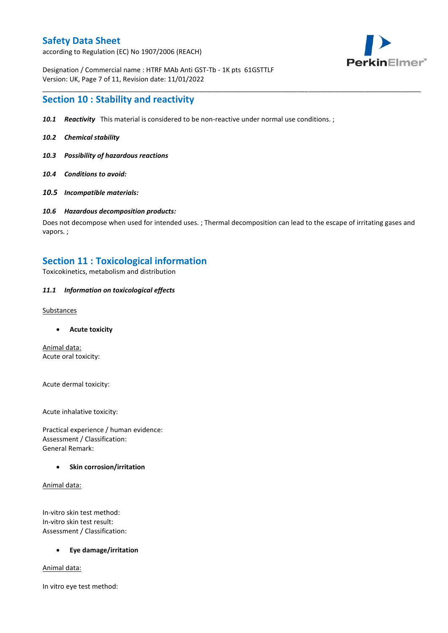according to Regulation (EC) No 1907/2006 (REACH)



Designation / Commercial name : HTRF MAb Anti GST-Tb - 1K pts 61GSTTLF Version: UK, Page 7 of 11, Revision date: 11/01/2022

### **Section 10 : Stability and reactivity**

- *10.1 Reactivity* This material is considered to be non-reactive under normal use conditions. ;
- *10.2 Chemical stability*
- *10.3 Possibility of hazardous reactions*
- *10.4 Conditions to avoid:*
- *10.5 Incompatible materials:*

#### *10.6 Hazardous decomposition products:*

Does not decompose when used for intended uses. ; Thermal decomposition can lead to the escape of irritating gases and vapors. ;

\_\_\_\_\_\_\_\_\_\_\_\_\_\_\_\_\_\_\_\_\_\_\_\_\_\_\_\_\_\_\_\_\_\_\_\_\_\_\_\_\_\_\_\_\_\_\_\_\_\_\_\_\_\_\_\_\_\_\_\_\_\_\_\_\_\_\_\_\_\_\_\_\_\_\_\_\_\_\_\_\_\_\_\_\_\_\_\_\_\_\_\_\_\_\_\_\_\_\_\_\_

### **Section 11 : Toxicological information**

Toxicokinetics, metabolism and distribution

#### *11.1 Information on toxicological effects*

#### **Substances**

**Acute toxicity**

Animal data: Acute oral toxicity:

Acute dermal toxicity:

Acute inhalative toxicity:

Practical experience / human evidence: Assessment / Classification: General Remark:

#### **Skin corrosion/irritation**

Animal data:

In-vitro skin test method: In-vitro skin test result: Assessment / Classification:

#### **Eye damage/irritation**

Animal data:

In vitro eye test method: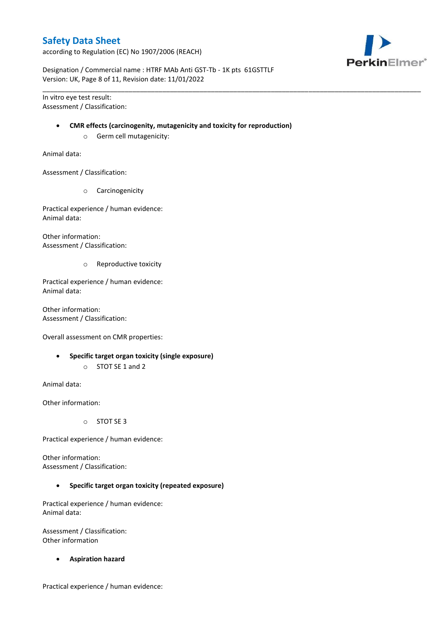according to Regulation (EC) No 1907/2006 (REACH)



Designation / Commercial name : HTRF MAb Anti GST-Tb - 1K pts 61GSTTLF Version: UK, Page 8 of 11, Revision date: 11/01/2022

In vitro eye test result: Assessment / Classification:

#### **CMR effects (carcinogenity, mutagenicity and toxicity for reproduction)**

\_\_\_\_\_\_\_\_\_\_\_\_\_\_\_\_\_\_\_\_\_\_\_\_\_\_\_\_\_\_\_\_\_\_\_\_\_\_\_\_\_\_\_\_\_\_\_\_\_\_\_\_\_\_\_\_\_\_\_\_\_\_\_\_\_\_\_\_\_\_\_\_\_\_\_\_\_\_\_\_\_\_\_\_\_\_\_\_\_\_\_\_\_\_\_\_\_\_\_\_\_

o Germ cell mutagenicity:

Animal data:

Assessment / Classification:

o Carcinogenicity

Practical experience / human evidence: Animal data:

Other information: Assessment / Classification:

o Reproductive toxicity

Practical experience / human evidence: Animal data:

Other information: Assessment / Classification:

Overall assessment on CMR properties:

- **Specific target organ toxicity (single exposure)**
	- o STOT SE 1 and 2

Animal data:

Other information:

o STOT SE 3

Practical experience / human evidence:

Other information: Assessment / Classification:

**Specific target organ toxicity (repeated exposure)**

Practical experience / human evidence: Animal data:

Assessment / Classification: Other information

**Aspiration hazard**

Practical experience / human evidence: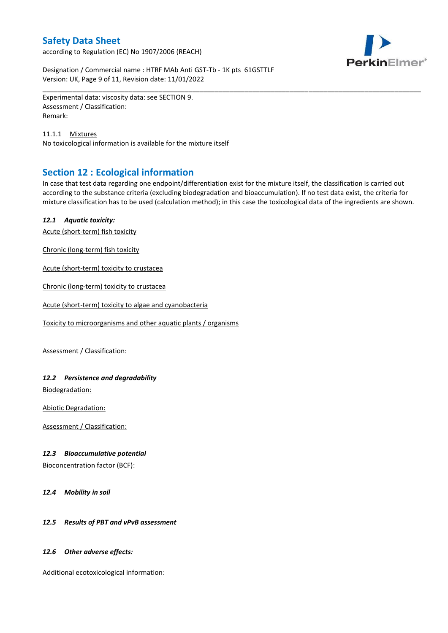according to Regulation (EC) No 1907/2006 (REACH)



Designation / Commercial name : HTRF MAb Anti GST-Tb - 1K pts 61GSTTLF Version: UK, Page 9 of 11, Revision date: 11/01/2022

Experimental data: viscosity data: see SECTION 9. Assessment / Classification: Remark:

11.1.1 Mixtures No toxicological information is available for the mixture itself

# **Section 12 : Ecological information**

In case that test data regarding one endpoint/differentiation exist for the mixture itself, the classification is carried out according to the substance criteria (excluding biodegradation and bioaccumulation). If no test data exist, the criteria for mixture classification has to be used (calculation method); in this case the toxicological data of the ingredients are shown.

\_\_\_\_\_\_\_\_\_\_\_\_\_\_\_\_\_\_\_\_\_\_\_\_\_\_\_\_\_\_\_\_\_\_\_\_\_\_\_\_\_\_\_\_\_\_\_\_\_\_\_\_\_\_\_\_\_\_\_\_\_\_\_\_\_\_\_\_\_\_\_\_\_\_\_\_\_\_\_\_\_\_\_\_\_\_\_\_\_\_\_\_\_\_\_\_\_\_\_\_\_

### *12.1 Aquatic toxicity:*

Acute (short-term) fish toxicity

Chronic (long-term) fish toxicity

Acute (short-term) toxicity to crustacea

Chronic (long-term) toxicity to crustacea

Acute (short-term) toxicity to algae and cyanobacteria

Toxicity to microorganisms and other aquatic plants / organisms

Assessment / Classification:

### *12.2 Persistence and degradability*

Biodegradation:

Abiotic Degradation:

Assessment / Classification:

#### *12.3 Bioaccumulative potential*

Bioconcentration factor (BCF):

*12.4 Mobility in soil*

### *12.5 Results of PBT and vPvB assessment*

#### *12.6 Other adverse effects:*

Additional ecotoxicological information: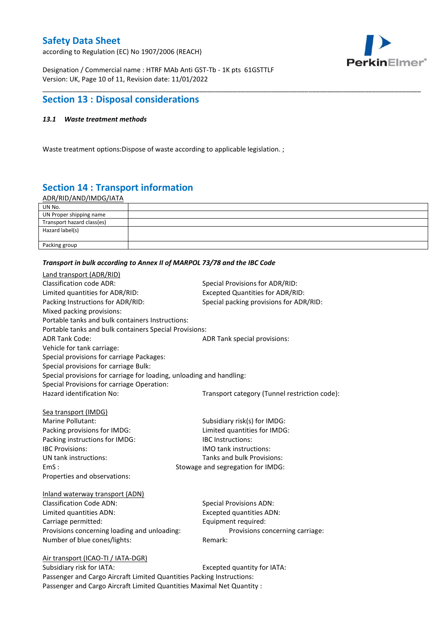according to Regulation (EC) No 1907/2006 (REACH)



Designation / Commercial name : HTRF MAb Anti GST-Tb - 1K pts 61GSTTLF Version: UK, Page 10 of 11, Revision date: 11/01/2022

### **Section 13 : Disposal considerations**

### *13.1 Waste treatment methods*

Waste treatment options:Dispose of waste according to applicable legislation. ;

# **Section 14 : Transport information**

ADR/RID/AND/IMDG/IATA

| UN No.                     |  |
|----------------------------|--|
| UN Proper shipping name    |  |
| Transport hazard class(es) |  |
| Hazard label(s)            |  |
|                            |  |
| Packing group              |  |

\_\_\_\_\_\_\_\_\_\_\_\_\_\_\_\_\_\_\_\_\_\_\_\_\_\_\_\_\_\_\_\_\_\_\_\_\_\_\_\_\_\_\_\_\_\_\_\_\_\_\_\_\_\_\_\_\_\_\_\_\_\_\_\_\_\_\_\_\_\_\_\_\_\_\_\_\_\_\_\_\_\_\_\_\_\_\_\_\_\_\_\_\_\_\_\_\_\_\_\_\_

#### *Transport in bulk according to Annex II of MARPOL 73/78 and the IBC Code*

| Land transport (ADR/RID)                                                    |                                               |
|-----------------------------------------------------------------------------|-----------------------------------------------|
| <b>Classification code ADR:</b>                                             | Special Provisions for ADR/RID:               |
| Limited quantities for ADR/RID:                                             | Excepted Quantities for ADR/RID:              |
| Packing Instructions for ADR/RID:                                           | Special packing provisions for ADR/RID:       |
| Mixed packing provisions:                                                   |                                               |
| Portable tanks and bulk containers Instructions:                            |                                               |
| Portable tanks and bulk containers Special Provisions:                      |                                               |
| <b>ADR Tank Code:</b>                                                       | ADR Tank special provisions:                  |
| Vehicle for tank carriage:                                                  |                                               |
| Special provisions for carriage Packages:                                   |                                               |
| Special provisions for carriage Bulk:                                       |                                               |
| Special provisions for carriage for loading, unloading and handling:        |                                               |
| Special Provisions for carriage Operation:                                  |                                               |
| Hazard identification No:                                                   | Transport category (Tunnel restriction code): |
|                                                                             |                                               |
| Sea transport (IMDG)                                                        |                                               |
| Marine Pollutant:                                                           | Subsidiary risk(s) for IMDG:                  |
| Packing provisions for IMDG:                                                | Limited quantities for IMDG:                  |
| Packing instructions for IMDG:                                              | IBC Instructions:                             |
| <b>IBC Provisions:</b>                                                      | <b>IMO</b> tank instructions:                 |
| UN tank instructions:                                                       | Tanks and bulk Provisions:                    |
| EmS:                                                                        | Stowage and segregation for IMDG:             |
| Properties and observations:                                                |                                               |
|                                                                             |                                               |
| Inland waterway transport (ADN)                                             |                                               |
| <b>Classification Code ADN:</b>                                             | <b>Special Provisions ADN:</b>                |
| Limited quantities ADN:                                                     | <b>Excepted quantities ADN:</b>               |
| Carriage permitted:                                                         | Equipment required:                           |
| Provisions concerning loading and unloading:                                | Provisions concerning carriage:               |
| Number of blue cones/lights:                                                | Remark:                                       |
|                                                                             |                                               |
| Air transport (ICAO-TI / IATA-DGR)<br>Subsidiary risk for IATA <sup>.</sup> | Excepted quantity for $IATA$ .                |
|                                                                             |                                               |

Subsidiary risk for IATA: Subsidiary risk for IATA: Passenger and Cargo Aircraft Limited Quantities Packing Instructions: Passenger and Cargo Aircraft Limited Quantities Maximal Net Quantity :